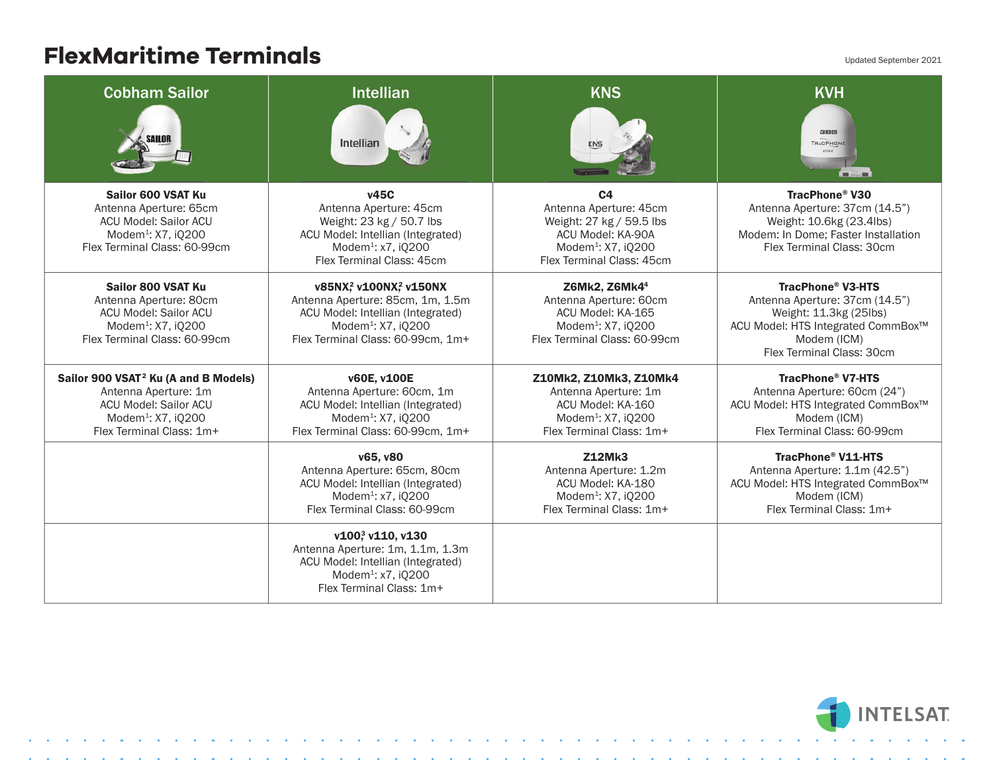## **FlexMaritime Terminals**

| FIGAMULILIIIG TGITIIIIUIS                                                                                                                                       |                                                                                                                                                                                               |                                                                                                                                                          | Updated September 2021                                                                                                                                                 |
|-----------------------------------------------------------------------------------------------------------------------------------------------------------------|-----------------------------------------------------------------------------------------------------------------------------------------------------------------------------------------------|----------------------------------------------------------------------------------------------------------------------------------------------------------|------------------------------------------------------------------------------------------------------------------------------------------------------------------------|
| <b>Cobham Sailor</b><br>SAILOR.                                                                                                                                 | <b>Intellian</b><br>Intellian                                                                                                                                                                 | <b>KNS</b>                                                                                                                                               | <b>KVH</b><br>図图图<br>TRACPHONE<br><b>Bill Allen Bill</b>                                                                                                               |
| Sailor 600 VSAT Ku<br>Antenna Aperture: 65cm<br><b>ACU Model: Sailor ACU</b><br>Modem <sup>1</sup> : X7, iQ200<br>Flex Terminal Class: 60-99cm                  | <b>v45C</b><br>Antenna Aperture: 45cm<br>Weight: 23 kg / 50.7 lbs<br>ACU Model: Intellian (Integrated)<br>Modem <sup>1</sup> : x7, iQ200<br>Flex Terminal Class: 45cm                         | C <sub>4</sub><br>Antenna Aperture: 45cm<br>Weight: 27 kg / 59.5 lbs<br>ACU Model: KA-90A<br>Modem <sup>1</sup> : X7, iQ200<br>Flex Terminal Class: 45cm | TracPhone® V30<br>Antenna Aperture: 37cm (14.5")<br>Weight: 10.6kg (23.4lbs)<br>Modem: In Dome; Faster Installation<br>Flex Terminal Class: 30cm                       |
| Sailor 800 VSAT Ku<br>Antenna Aperture: 80cm<br>ACU Model: Sailor ACU<br>Modem <sup>1</sup> : X7, i0200<br>Flex Terminal Class: 60-99cm                         | v85NX <sup>2</sup> v100NX <sup>2</sup> v150NX<br>Antenna Aperture: 85cm, 1m, 1.5m<br>ACU Model: Intellian (Integrated)<br>Modem <sup>1</sup> : X7, iQ200<br>Flex Terminal Class: 60-99cm, 1m+ | Z6Mk2, Z6Mk4 <sup>4</sup><br>Antenna Aperture: 60cm<br>ACU Model: KA-165<br>Modem <sup>1</sup> : X7, iQ200<br>Flex Terminal Class: 60-99cm               | <b>TracPhone® V3-HTS</b><br>Antenna Aperture: 37cm (14.5")<br>Weight: 11.3kg (25lbs)<br>ACU Model: HTS Integrated CommBox™<br>Modem (ICM)<br>Flex Terminal Class: 30cm |
| Sailor 900 VSAT <sup>2</sup> Ku (A and B Models)<br>Antenna Aperture: 1m<br>ACU Model: Sailor ACU<br>Modem <sup>1</sup> : X7, iQ200<br>Flex Terminal Class: 1m+ | v60E, v100E<br>Antenna Aperture: 60cm, 1m<br>ACU Model: Intellian (Integrated)<br>Modem <sup>1</sup> : X7, iQ200<br>Flex Terminal Class: 60-99cm, 1m+                                         | Z10Mk2, Z10Mk3, Z10Mk4<br>Antenna Aperture: 1m<br>ACU Model: KA-160<br>Modem <sup>1</sup> : X7, iQ200<br>Flex Terminal Class: 1m+                        | <b>TracPhone® V7-HTS</b><br>Antenna Aperture: 60cm (24")<br>ACU Model: HTS Integrated CommBox™<br>Modem (ICM)<br>Flex Terminal Class: 60-99cm                          |
|                                                                                                                                                                 | v65, v80<br>Antenna Aperture: 65cm, 80cm<br>ACU Model: Intellian (Integrated)<br>Modem <sup>1</sup> : x7, iQ200<br>Flex Terminal Class: 60-99cm                                               | <b>Z12Mk3</b><br>Antenna Aperture: 1.2m<br>ACU Model: KA-180<br>Modem <sup>1</sup> : X7, iQ200<br>Flex Terminal Class: 1m+                               | TracPhone® V11-HTS<br>Antenna Aperture: 1.1m (42.5")<br>ACU Model: HTS Integrated CommBox™<br>Modem (ICM)<br>Flex Terminal Class: 1m+                                  |
|                                                                                                                                                                 | v1003 v110, v130<br>Antenna Aperture: 1m, 1.1m, 1.3m<br>ACU Model: Intellian (Integrated)<br>Modem <sup>1</sup> : x7, iQ200<br>Flex Terminal Class: 1m+                                       |                                                                                                                                                          |                                                                                                                                                                        |



n an

and a strategic control